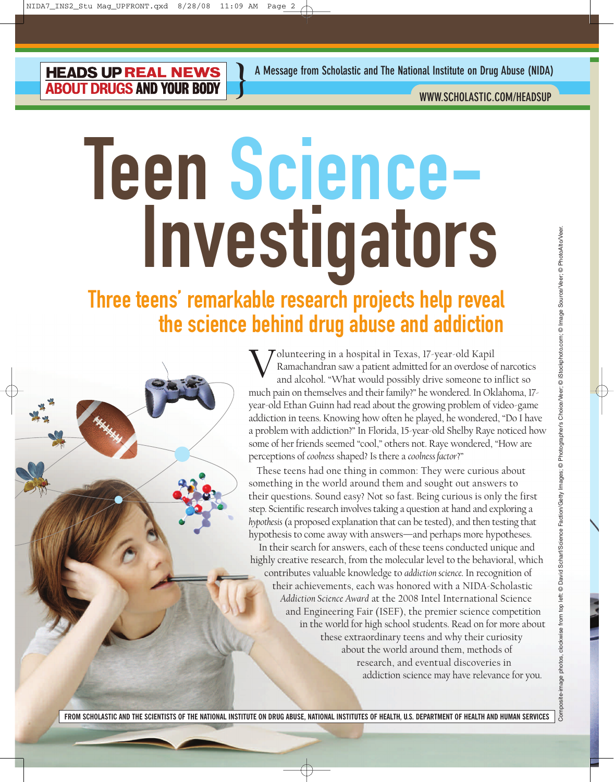**HEADS UP REAL NEWS ABOUT DRUGS AND YOUR BODY** 

**WWW.SCHOLASTIC.COM/HEADSUP**

# Teen Science-Investigators Teen<br>Inv  $\blacksquare$ ï ï ï ï ï ï ï

**}**

#### Three teens' remarkable research projects help reveal the science behind drug abuse and addiction  $\frac{1}{\pi}$   $\frac{1}{\pi}$   $\frac{1}{\pi}$   $\frac{1}{\pi}$   $\frac{1}{\pi}$   $\frac{1}{\pi}$

Volunteering in a hospital in Texas, 17-year-old Kapil Ramachandran saw a patient admitted for an overdose of narcotics and alcohol. "What would possibly drive someone to inflict so much pain on themselves and their family?" he wondered. In Oklahoma, 17 year-old Ethan Guinn had read about the growing problem of video-game addiction in teens. Knowing how often he played, he wondered, "Do I have a problem with addiction?" In Florida, 15-year-old Shelby Raye noticed how some of her friends seemed "cool," others not. Raye wondered, "How are perceptions of *coolness* shaped? Is there a *coolness factor*?"

These teens had one thing in common: They were curious about something in the world around them and sought out answers to their questions. Sound easy? Not so fast. Being curious is only the first step. Scientific research involves taking a question at hand and exploring a *hypothesis*(a proposed explanation that can be tested), and then testing that hypothesis to come away with answers—and perhaps more hypotheses.

In their search for answers, each of these teens conducted unique and highly creative research, from the molecular level to the behavioral, which contributes valuable knowledge to *addiction science*. In recognition of their achievements, each was honored with a NIDA-Scholastic *Addiction Science Award* at the 2008 Intel International Science and Engineering Fair (ISEF), the premier science competition in the world for high school students. Read on for more about these extraordinary teens and why their curiosity about the world around them, methods of research, and eventual discoveries in addiction science may have relevance for you.

Composite-image photos, clockwise from top left: © David Scharf/Science Faction/Getty Images; © Photographer's Choice/Veer; © iStockphoto.com; © Image Source/Veer; © PhotoAlto/Veer. left © David Scharf/Science Faction/Getty Images; © Photographer's ChoiceVeer; © iStockphoto.com; © Image Source/Veer; © PhotoAlto/Vee mage photos, clockwise from top

**FROM SCHOLASTIC AND THE SCIENTISTS OF THE NATIONAL INSTITUTE ON DRUG ABUSE, NATIONAL INSTITUTES OF HEALTH, U.S. DEPARTMENT OF HEALTH AND HUMAN SERVICES**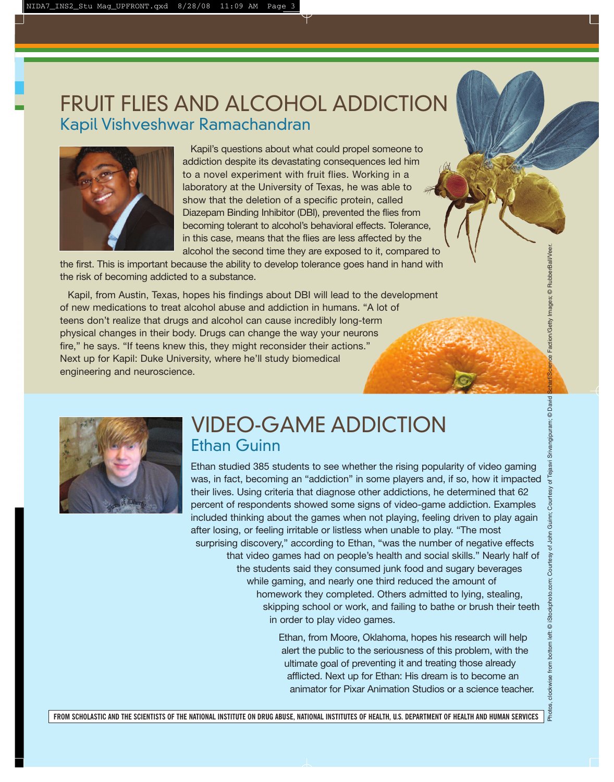#### FRUIT FLIES AND ALCOHOL ADDICTION Kapil Vishveshwar Ramachandran



Kapil's questions about what could propel someone to addiction despite its devastating consequences led him to a novel experiment with fruit flies. Working in a laboratory at the University of Texas, he was able to show that the deletion of a specific protein, called Diazepam Binding Inhibitor (DBI), prevented the flies from becoming tolerant to alcohol's behavioral effects. Tolerance, in this case, means that the flies are less affected by the alcohol the second time they are exposed to it, compared to

the first. This is important because the ability to develop tolerance goes hand in hand with the risk of becoming addicted to a substance.

Kapil, from Austin, Texas, hopes his findings about DBI will lead to the development of new medications to treat alcohol abuse and addiction in humans. "A lot of teens don't realize that drugs and alcohol can cause incredibly long-term physical changes in their body. Drugs can change the way your neurons fire," he says. "If teens knew this, they might reconsider their actions." Next up for Kapil: Duke University, where he'll study biomedical engineering and neuroscience.



#### VIDEO-GAME ADDICTION Ethan Guinn

Ethan studied 385 students to see whether the rising popularity of video gaming was, in fact, becoming an "addiction" in some players and, if so, how it impacted their lives. Using criteria that diagnose other addictions, he determined that 62 percent of respondents showed some signs of video-game addiction. Examples included thinking about the games when not playing, feeling driven to play again after losing, or feeling irritable or listless when unable to play. "The most surprising discovery," according to Ethan, "was the number of negative effects that video games had on people's health and social skills." Nearly half of the students said they consumed junk food and sugary beverages while gaming, and nearly one third reduced the amount of homework they completed. Others admitted to lying, stealing, skipping school or work, and failing to bathe or brush their teeth in order to play video games.

> Ethan, from Moore, Oklahoma, hopes his research will help alert the public to the seriousness of this problem, with the ultimate goal of preventing it and treating those already afflicted. Next up for Ethan: His dream is to become an animator for Pixar Animation Studios or a science teacher.